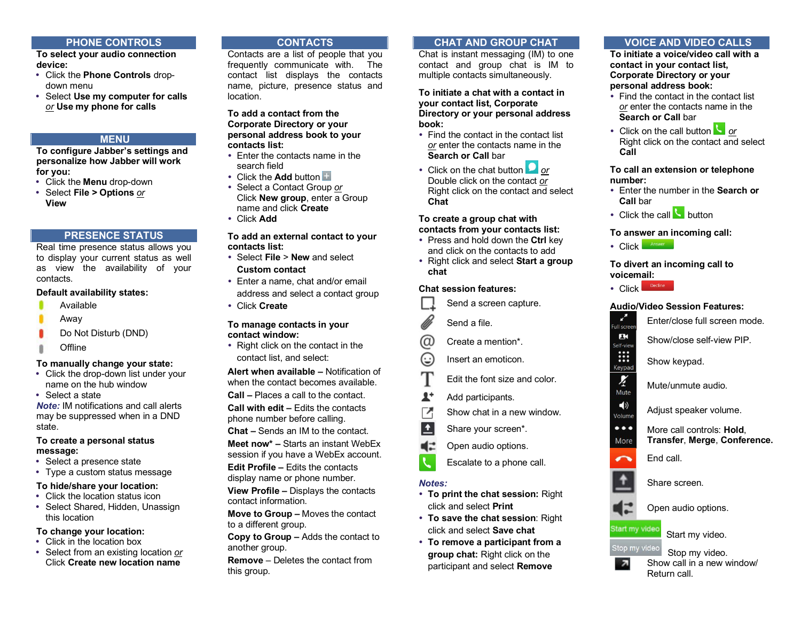## **PHONE CONTROLS**

**To select your audio connection device:**

- Click the **Phone Controls** dropdown menu
- Select **Use my computer for calls**  *or* **Use my phone for calls**

## **MENU**

**To configure Jabber's settings and personalize how Jabber will work for you:**

- Click the **Menu** drop-down
- Select **File > Options** *or* **View**

# **PRESENCE STATUS**

Real time presence status allows you to display your current status as well as view the availability of your contacts.

### **Default availability states:**

- Available
- Away
- Do Not Disturb (DND)
- **Offline**

## **To manually change your state:**

- Click the drop-down list under your name on the hub window
- Select a state

*Note:* IM notifications and call alerts may be suppressed when in a DND state.

#### **To create a personal status message:**

- Select a presence state
- Type a custom status message

### **To hide/share your location:**

- Click the location status icon
- Select Shared, Hidden, Unassign this location

### **To change your location:**

- Click in the location box
- Select from an existing location *or* Click **Create new location name**

## **CONTACTS**

Contacts are a list of people that you frequently communicate with. The contact list displays the contacts name, picture, presence status and location.

**To add a contact from the Corporate Directory or your personal address book to your contacts list:**

- Enter the contacts name in the search field
- Click the **Add** button
- Select a Contact Group *or* Click **New group**, enter a Group name and click **Create**
- Click **Add**

#### **To add an external contact to your contacts list:**

- Select **File** > **New** and select
- **Custom contact**
- Enter a name, chat and/or email
- address and select a contact group Click **Create**

## **To manage contacts in your contact window:**

• Right click on the contact in the contact list, and select:

**Alert when available –** Notification of when the contact becomes available.

**Call –** Places a call to the contact. **Call with edit –** Edits the contacts phone number before calling.

**Chat –** Sends an IM to the contact.

**Meet now\* –** Starts an instant WebEx

session if you have a WebEx account. **Edit Profile –** Edits the contacts

display name or phone number.

- **View Profile –** Displays the contacts contact information.
- **Move to Group –** Moves the contact to a different group.

**Copy to Group –** Adds the contact to another group.

**Remove** – Deletes the contact from this group.

# **CHAT AND GROUP CHAT**

Chat is instant messaging (IM) to one contact and group chat is IM to multiple contacts simultaneously.

#### **To initiate a chat with a contact in your contact list, Corporate Directory or your personal address book:**

- Find the contact in the contact list *or* enter the contacts name in the **Search or Call** bar
- Click on the chat button **O** or Double click on the contact *or* Right click on the contact and select **Chat**

#### **To create a group chat with contacts from your contacts list:**

- Press and hold down the **Ctrl** key and click on the contacts to add
- Right click and select **Start a group chat**

# **Chat session features:**

- Send a screen capture.
- Send a file.
- @ Create a mention\*.
- ⊙ Insert an emoticon.
	- Edit the font size and color.
- $\mathbf{r}$ Add participants.
- 7 Show chat in a new window.
- $\mathbf{t}$ Share your screen\*.
- 로 Open audio options.
	- Escalate to a phone call.

### *Notes:*

- **To print the chat session:** Right click and select **Print**
- **To save the chat session**: Right click and select **Save chat**
- **To remove a participant from a group chat:** Right click on the participant and select **Remove**

# **VOICE AND VIDEO CALLS**

**To initiate a voice/video call with a contact in your contact list, Corporate Directory or your personal address book:**

- Find the contact in the contact list *or* enter the contacts name in the **Search or Call** bar
- Click on the call button **b** or Right click on the contact and select **Call**

## **To call an extension or telephone number:**

- Enter the number in the **Search or Call** bar
- $\cdot$  Click the call button

## **To answer an incoming call:**

• Click Answer

## **To divert an incoming call to voicemail:**



 $\boldsymbol{r}^{\prime}$ 

 $\overline{\phantom{a}}$ 

# **Audio/Video Session Features:**



 Stop my video. Show call in a new window/ Return call.